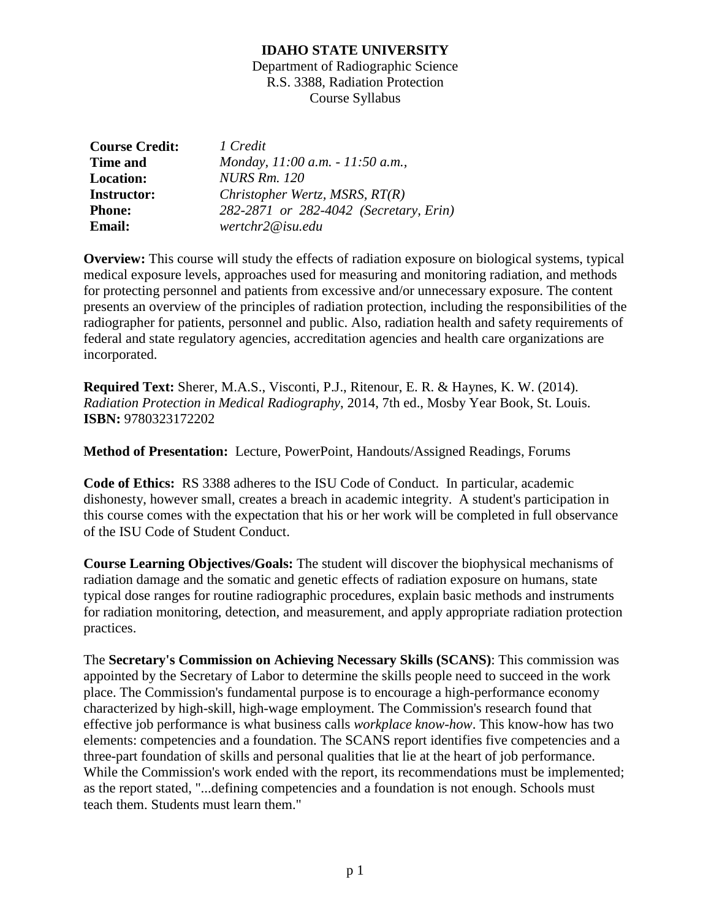Department of Radiographic Science R.S. 3388, Radiation Protection Course Syllabus

| <b>Course Credit:</b> | 1 Credit                               |
|-----------------------|----------------------------------------|
| <b>Time and</b>       | Monday, 11:00 a.m. - 11:50 a.m.,       |
| <b>Location:</b>      | <b>NURS Rm. 120</b>                    |
| <b>Instructor:</b>    | Christopher Wertz, MSRS, RT(R)         |
| <b>Phone:</b>         | 282-2871 or 282-4042 (Secretary, Erin) |
| <b>Email:</b>         | wertchr2@isu.edu                       |

**Overview:** This course will study the effects of radiation exposure on biological systems, typical medical exposure levels, approaches used for measuring and monitoring radiation, and methods for protecting personnel and patients from excessive and/or unnecessary exposure. The content presents an overview of the principles of radiation protection, including the responsibilities of the radiographer for patients, personnel and public. Also, radiation health and safety requirements of federal and state regulatory agencies, accreditation agencies and health care organizations are incorporated.

**Required Text:** Sherer, M.A.S., Visconti, P.J., Ritenour, E. R. & Haynes, K. W. (2014). *Radiation Protection in Medical Radiography*, 2014, 7th ed., Mosby Year Book, St. Louis. **ISBN:** 9780323172202

**Method of Presentation:** Lecture, PowerPoint, Handouts/Assigned Readings, Forums

**Code of Ethics:** RS 3388 adheres to the ISU Code of Conduct. In particular, academic dishonesty, however small, creates a breach in academic integrity. A student's participation in this course comes with the expectation that his or her work will be completed in full observance of the ISU Code of Student Conduct.

**Course Learning Objectives/Goals:** The student will discover the biophysical mechanisms of radiation damage and the somatic and genetic effects of radiation exposure on humans, state typical dose ranges for routine radiographic procedures, explain basic methods and instruments for radiation monitoring, detection, and measurement, and apply appropriate radiation protection practices.

The **Secretary's Commission on Achieving Necessary Skills (SCANS)**: This commission was appointed by the Secretary of Labor to determine the skills people need to succeed in the work place. The Commission's fundamental purpose is to encourage a high-performance economy characterized by high-skill, high-wage employment. The Commission's research found that effective job performance is what business calls *workplace know-how*. This know-how has two elements: competencies and a foundation. The SCANS report identifies five competencies and a three-part foundation of skills and personal qualities that lie at the heart of job performance. While the Commission's work ended with the report, its recommendations must be implemented; as the report stated, "...defining competencies and a foundation is not enough. Schools must teach them. Students must learn them."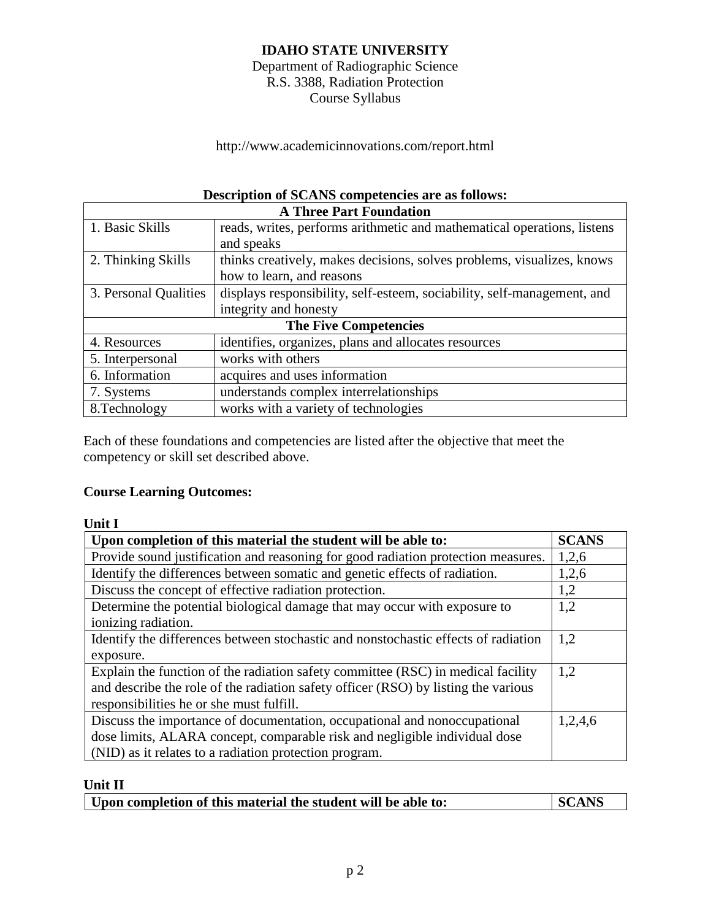Department of Radiographic Science R.S. 3388, Radiation Protection Course Syllabus

http://www.academicinnovations.com/report.html

# **Description of SCANS competencies are as follows:**

| <b>A Three Part Foundation</b> |                                                                         |  |
|--------------------------------|-------------------------------------------------------------------------|--|
| 1. Basic Skills                | reads, writes, performs arithmetic and mathematical operations, listens |  |
|                                | and speaks                                                              |  |
| 2. Thinking Skills             | thinks creatively, makes decisions, solves problems, visualizes, knows  |  |
|                                | how to learn, and reasons                                               |  |
| 3. Personal Qualities          | displays responsibility, self-esteem, sociability, self-management, and |  |
|                                | integrity and honesty                                                   |  |
| <b>The Five Competencies</b>   |                                                                         |  |
| 4. Resources                   | identifies, organizes, plans and allocates resources                    |  |
| 5. Interpersonal               | works with others                                                       |  |
| 6. Information                 | acquires and uses information                                           |  |
| 7. Systems                     | understands complex interrelationships                                  |  |
| 8. Technology                  | works with a variety of technologies                                    |  |

Each of these foundations and competencies are listed after the objective that meet the competency or skill set described above.

## **Course Learning Outcomes:**

| ۰.<br>× |  |
|---------|--|

| Upon completion of this material the student will be able to:                      | <b>SCANS</b> |  |
|------------------------------------------------------------------------------------|--------------|--|
| Provide sound justification and reasoning for good radiation protection measures.  | 1,2,6        |  |
| Identify the differences between somatic and genetic effects of radiation.         | 1,2,6        |  |
| Discuss the concept of effective radiation protection.                             | 1,2          |  |
| Determine the potential biological damage that may occur with exposure to          |              |  |
| ionizing radiation.                                                                |              |  |
| Identify the differences between stochastic and nonstochastic effects of radiation |              |  |
| exposure.                                                                          |              |  |
| Explain the function of the radiation safety committee (RSC) in medical facility   | 1,2          |  |
| and describe the role of the radiation safety officer (RSO) by listing the various |              |  |
| responsibilities he or she must fulfill.                                           |              |  |
| Discuss the importance of documentation, occupational and nonoccupational          | 1,2,4,6      |  |
| dose limits, ALARA concept, comparable risk and negligible individual dose         |              |  |
| (NID) as it relates to a radiation protection program.                             |              |  |

## **Unit II**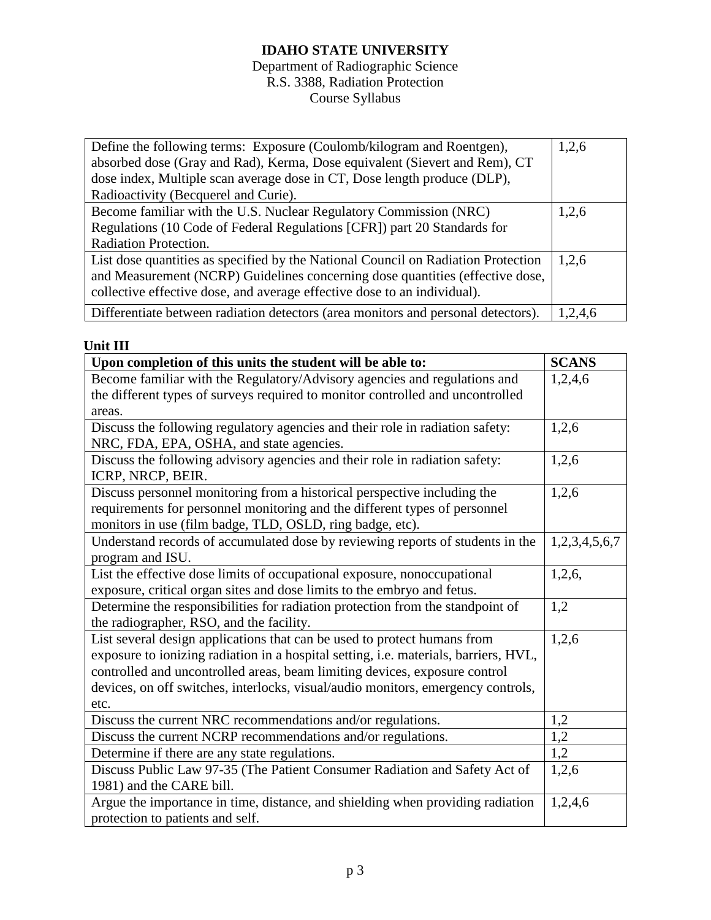### Department of Radiographic Science R.S. 3388, Radiation Protection Course Syllabus

| Define the following terms: Exposure (Coulomb/kilogram and Roentgen),             | 1,2,6   |
|-----------------------------------------------------------------------------------|---------|
| absorbed dose (Gray and Rad), Kerma, Dose equivalent (Sievert and Rem), CT        |         |
| dose index, Multiple scan average dose in CT, Dose length produce (DLP),          |         |
| Radioactivity (Becquerel and Curie).                                              |         |
| Become familiar with the U.S. Nuclear Regulatory Commission (NRC)                 | 1,2,6   |
| Regulations (10 Code of Federal Regulations [CFR]) part 20 Standards for          |         |
| Radiation Protection.                                                             |         |
| List dose quantities as specified by the National Council on Radiation Protection | 1,2,6   |
| and Measurement (NCRP) Guidelines concerning dose quantities (effective dose,     |         |
| collective effective dose, and average effective dose to an individual).          |         |
| Differentiate between radiation detectors (area monitors and personal detectors). | 1,2,4,6 |

## **Unit III**

| Upon completion of this units the student will be able to:                                       | <b>SCANS</b>     |
|--------------------------------------------------------------------------------------------------|------------------|
| Become familiar with the Regulatory/Advisory agencies and regulations and                        | 1,2,4,6          |
| the different types of surveys required to monitor controlled and uncontrolled                   |                  |
| areas.                                                                                           |                  |
| Discuss the following regulatory agencies and their role in radiation safety:                    | 1,2,6            |
| NRC, FDA, EPA, OSHA, and state agencies.                                                         |                  |
| Discuss the following advisory agencies and their role in radiation safety:<br>ICRP, NRCP, BEIR. | 1,2,6            |
| Discuss personnel monitoring from a historical perspective including the                         | 1,2,6            |
| requirements for personnel monitoring and the different types of personnel                       |                  |
| monitors in use (film badge, TLD, OSLD, ring badge, etc).                                        |                  |
| Understand records of accumulated dose by reviewing reports of students in the                   | 1,2,3,4,5,6,7    |
| program and ISU.                                                                                 |                  |
| List the effective dose limits of occupational exposure, nonoccupational                         | 1,2,6,           |
| exposure, critical organ sites and dose limits to the embryo and fetus.                          |                  |
| Determine the responsibilities for radiation protection from the standpoint of                   | 1,2              |
| the radiographer, RSO, and the facility.                                                         |                  |
| List several design applications that can be used to protect humans from                         | 1,2,6            |
| exposure to ionizing radiation in a hospital setting, i.e. materials, barriers, HVL,             |                  |
| controlled and uncontrolled areas, beam limiting devices, exposure control                       |                  |
| devices, on off switches, interlocks, visual/audio monitors, emergency controls,                 |                  |
| etc.                                                                                             |                  |
| Discuss the current NRC recommendations and/or regulations.                                      | 1,2              |
| Discuss the current NCRP recommendations and/or regulations.                                     | $\overline{1,2}$ |
| Determine if there are any state regulations.                                                    | 1,2              |
| Discuss Public Law 97-35 (The Patient Consumer Radiation and Safety Act of                       | 1,2,6            |
| 1981) and the CARE bill.                                                                         |                  |
| Argue the importance in time, distance, and shielding when providing radiation                   | 1,2,4,6          |
| protection to patients and self.                                                                 |                  |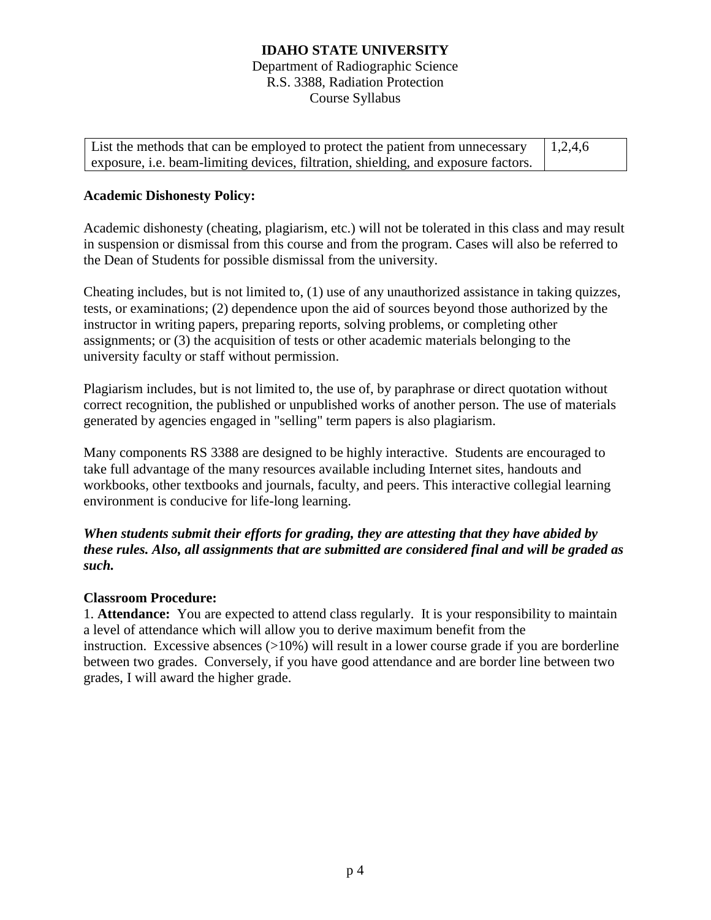Department of Radiographic Science R.S. 3388, Radiation Protection Course Syllabus

List the methods that can be employed to protect the patient from unnecessary exposure, i.e. beam-limiting devices, filtration, shielding, and exposure factors. 1,2,4,6

### **Academic Dishonesty Policy:**

Academic dishonesty (cheating, plagiarism, etc.) will not be tolerated in this class and may result in suspension or dismissal from this course and from the program. Cases will also be referred to the Dean of Students for possible dismissal from the university.

Cheating includes, but is not limited to, (1) use of any unauthorized assistance in taking quizzes, tests, or examinations; (2) dependence upon the aid of sources beyond those authorized by the instructor in writing papers, preparing reports, solving problems, or completing other assignments; or (3) the acquisition of tests or other academic materials belonging to the university faculty or staff without permission.

Plagiarism includes, but is not limited to, the use of, by paraphrase or direct quotation without correct recognition, the published or unpublished works of another person. The use of materials generated by agencies engaged in "selling" term papers is also plagiarism.

Many components RS 3388 are designed to be highly interactive. Students are encouraged to take full advantage of the many resources available including Internet sites, handouts and workbooks, other textbooks and journals, faculty, and peers. This interactive collegial learning environment is conducive for life-long learning.

*When students submit their efforts for grading, they are attesting that they have abided by these rules. Also, all assignments that are submitted are considered final and will be graded as such.*

#### **Classroom Procedure:**

1. **Attendance:** You are expected to attend class regularly. It is your responsibility to maintain a level of attendance which will allow you to derive maximum benefit from the instruction. Excessive absences  $(>10\%)$  will result in a lower course grade if you are borderline between two grades. Conversely, if you have good attendance and are border line between two grades, I will award the higher grade.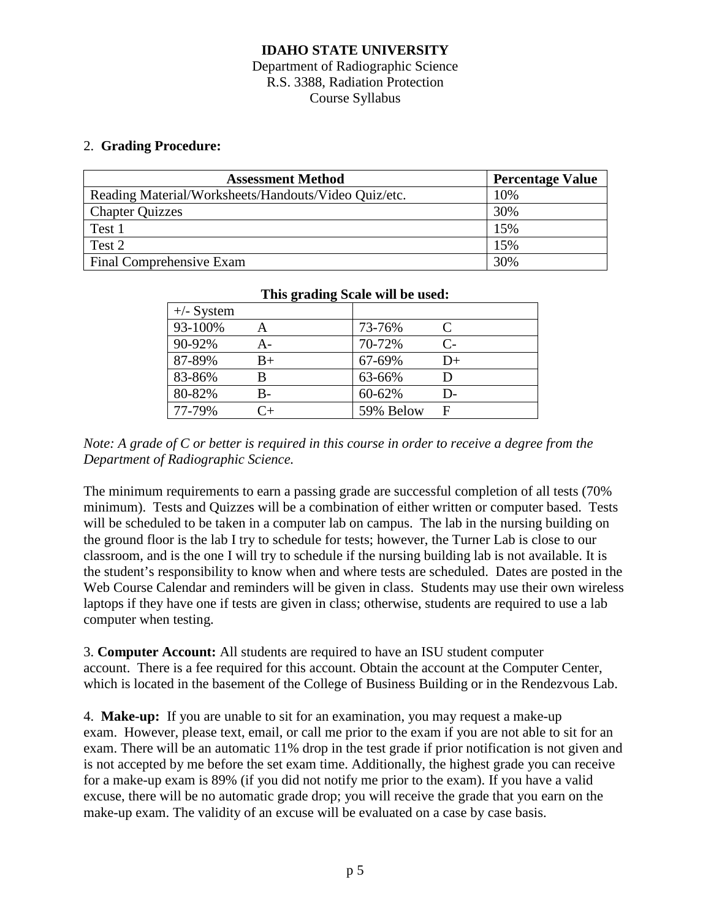#### Department of Radiographic Science R.S. 3388, Radiation Protection Course Syllabus

#### 2. **Grading Procedure:**

| <b>Assessment Method</b>                             | <b>Percentage Value</b> |
|------------------------------------------------------|-------------------------|
| Reading Material/Worksheets/Handouts/Video Quiz/etc. | 10%                     |
| <b>Chapter Quizzes</b>                               | 30%                     |
| Test 1                                               | 15%                     |
| Test 2                                               | 15%                     |
| Final Comprehensive Exam                             | 30%                     |

| $\frac{1}{2}$ and $\frac{1}{2}$ while $\frac{1}{2}$ is the set as $\frac{1}{2}$ |         |           |            |
|---------------------------------------------------------------------------------|---------|-----------|------------|
| $+\angle$ - System                                                              |         |           |            |
| 93-100%                                                                         |         | 73-76%    | €          |
| 90-92%                                                                          | A-      | 70-72%    | $C_{\tau}$ |
| 87-89%                                                                          | $B+$    | 67-69%    | $D+$       |
| 83-86%                                                                          | В       | 63-66%    |            |
| 80-82%                                                                          | B-      | 60-62%    | D-         |
| 77-79%                                                                          | $C_{+}$ | 59% Below | F          |

#### **This grading Scale will be used:**

*Note: A grade of C or better is required in this course in order to receive a degree from the Department of Radiographic Science.*

The minimum requirements to earn a passing grade are successful completion of all tests (70% minimum). Tests and Quizzes will be a combination of either written or computer based. Tests will be scheduled to be taken in a computer lab on campus. The lab in the nursing building on the ground floor is the lab I try to schedule for tests; however, the Turner Lab is close to our classroom, and is the one I will try to schedule if the nursing building lab is not available. It is the student's responsibility to know when and where tests are scheduled. Dates are posted in the Web Course Calendar and reminders will be given in class. Students may use their own wireless laptops if they have one if tests are given in class; otherwise, students are required to use a lab computer when testing.

3. **Computer Account:** All students are required to have an ISU student computer account. There is a fee required for this account. Obtain the account at the Computer Center, which is located in the basement of the College of Business Building or in the Rendezvous Lab.

4. **Make-up:** If you are unable to sit for an examination, you may request a make-up exam. However, please text, email, or call me prior to the exam if you are not able to sit for an exam. There will be an automatic 11% drop in the test grade if prior notification is not given and is not accepted by me before the set exam time. Additionally, the highest grade you can receive for a make-up exam is 89% (if you did not notify me prior to the exam). If you have a valid excuse, there will be no automatic grade drop; you will receive the grade that you earn on the make-up exam. The validity of an excuse will be evaluated on a case by case basis.